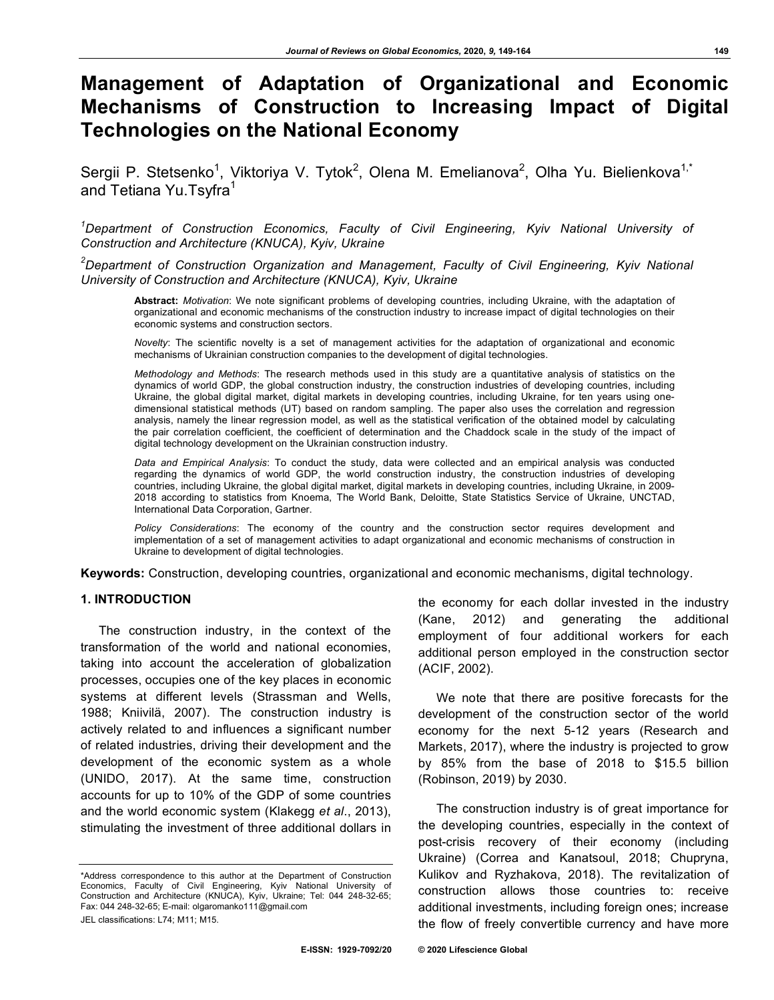# **Management of Adaptation of Organizational and Economic Mechanisms of Construction to Increasing Impact of Digital Technologies on the National Economy**

Sergii P. Stetsenko<sup>1</sup>, Viktoriya V. Tytok<sup>2</sup>, Olena M. Emelianova<sup>2</sup>, Olha Yu. Bielienkova<sup>1,\*</sup> and Tetiana Yu.Tsyfra<sup>1</sup>

*1 Department of Construction Economics, Faculty of Civil Engineering, Kyiv National University of Construction and Architecture (KNUCA), Kyiv, Ukraine*

*2 Department of Construction Organization and Management, Faculty of Civil Engineering, Kyiv National University of Construction and Architecture (KNUCA), Kyiv, Ukraine*

**Abstract:** *Motivation*: We note significant problems of developing countries, including Ukraine, with the adaptation of organizational and economic mechanisms of the construction industry to increase impact of digital technologies on their economic systems and construction sectors.

*Novelty*: The scientific novelty is a set of management activities for the adaptation of organizational and economic mechanisms of Ukrainian construction companies to the development of digital technologies.

*Methodology and Methods*: The research methods used in this study are a quantitative analysis of statistics on the dynamics of world GDP, the global construction industry, the construction industries of developing countries, including Ukraine, the global digital market, digital markets in developing countries, including Ukraine, for ten years using onedimensional statistical methods (UT) based on random sampling. The paper also uses the correlation and regression analysis, namely the linear regression model, as well as the statistical verification of the obtained model by calculating the pair correlation coefficient, the coefficient of determination and the Chaddock scale in the study of the impact of digital technology development on the Ukrainian construction industry.

*Data and Empirical Analysis*: To conduct the study, data were collected and an empirical analysis was conducted regarding the dynamics of world GDP, the world construction industry, the construction industries of developing countries, including Ukraine, the global digital market, digital markets in developing countries, including Ukraine, in 2009- 2018 according to statistics from Knoema, The World Bank, Deloitte, State Statistics Service of Ukraine, UNCTAD, International Data Corporation, Gartner.

*Policy Considerations*: The economy of the country and the construction sector requires development and implementation of a set of management activities to adapt organizational and economic mechanisms of construction in Ukraine to development of digital technologies.

**Keywords:** Construction, developing countries, organizational and economic mechanisms, digital technology.

#### **1. INTRODUCTION**

The construction industry, in the context of the transformation of the world and national economies, taking into account the acceleration of globalization processes, occupies one of the key places in economic systems at different levels (Strassman and Wells, 1988; Kniivilä, 2007). The construction industry is actively related to and influences a significant number of related industries, driving their development and the development of the economic system as a whole (UNIDO, 2017). At the same time, construction accounts for up to 10% of the GDP of some countries and the world economic system (Klakegg *et al*., 2013), stimulating the investment of three additional dollars in

\*Address correspondence to this author at the Department of Construction Economics, Faculty of Civil Engineering, Kyiv National University of Construction and Architecture (KNUCA), Kyiv, Ukraine; Tel: 044 248-32-65; Fax: 044 248-32-65; E-mail: olgaromanko111@gmail.com

JEL classifications: L74; M11; M15.

the economy for each dollar invested in the industry (Kane, 2012) and generating the additional employment of four additional workers for each additional person employed in the construction sector (ACIF, 2002).

We note that there are positive forecasts for the development of the construction sector of the world economy for the next 5-12 years (Research and Markets, 2017), where the industry is projected to grow by 85% from the base of 2018 to \$15.5 billion (Robinson, 2019) by 2030.

The construction industry is of great importance for the developing countries, especially in the context of post-crisis recovery of their economy (including Ukraine) (Correa and Kanatsoul, 2018; Chupryna, Kulikov and Ryzhakova, 2018). The revitalization of construction allows those countries to: receive additional investments, including foreign ones; increase the flow of freely convertible currency and have more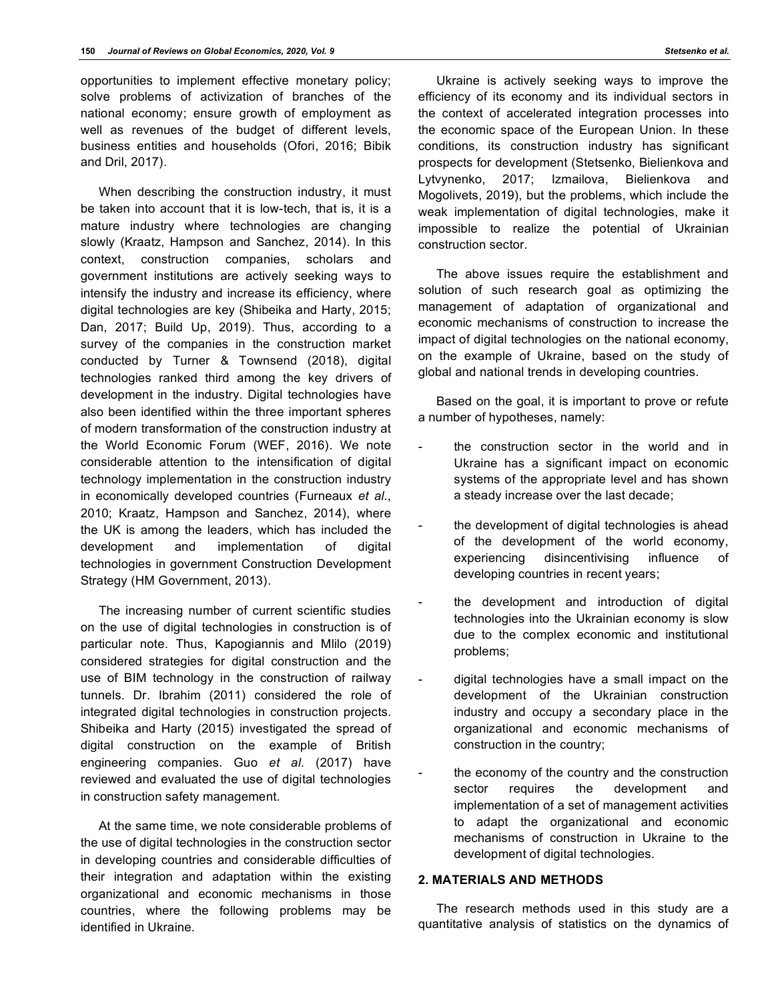opportunities to implement effective monetary policy; solve problems of activization of branches of the national economy; ensure growth of employment as well as revenues of the budget of different levels, business entities and households (Ofori, 2016; Bibik and Dril, 2017).

When describing the construction industry, it must be taken into account that it is low-tech, that is, it is a mature industry where technologies are changing slowly (Kraatz, Hampson and Sanchez, 2014). In this context, construction companies, scholars and government institutions are actively seeking ways to intensify the industry and increase its efficiency, where digital technologies are key (Shibeika and Harty, 2015; Dan, 2017; Build Up, 2019). Thus, according to a survey of the companies in the construction market conducted by Turner & Townsend (2018), digital technologies ranked third among the key drivers of development in the industry. Digital technologies have also been identified within the three important spheres of modern transformation of the construction industry at the World Economic Forum (WEF, 2016). We note considerable attention to the intensification of digital technology implementation in the construction industry in economically developed countries (Furneaux *et al*., 2010; Kraatz, Hampson and Sanchez, 2014), where the UK is among the leaders, which has included the development and implementation of digital technologies in government Construction Development Strategy (HM Government, 2013).

The increasing number of current scientific studies on the use of digital technologies in construction is of particular note. Thus, Kapogiannis and Mlilo (2019) considered strategies for digital construction and the use of BIM technology in the construction of railway tunnels. Dr. Ibrahim (2011) considered the role of integrated digital technologies in construction projects. Shibeika and Harty (2015) investigated the spread of digital construction on the example of British engineering companies. Guo *et al*. (2017) have reviewed and evaluated the use of digital technologies in construction safety management.

At the same time, we note considerable problems of the use of digital technologies in the construction sector in developing countries and considerable difficulties of their integration and adaptation within the existing organizational and economic mechanisms in those countries, where the following problems may be identified in Ukraine.

Ukraine is actively seeking ways to improve the efficiency of its economy and its individual sectors in the context of accelerated integration processes into the economic space of the European Union. In these conditions, its construction industry has significant prospects for development (Stetsenko, Bielienkova and Lytvynenko, 2017; Izmailova, Bielienkova and Mogolivets, 2019), but the problems, which include the weak implementation of digital technologies, make it impossible to realize the potential of Ukrainian construction sector.

The above issues require the establishment and solution of such research goal as optimizing the management of adaptation of organizational and economic mechanisms of construction to increase the impact of digital technologies on the national economy, on the example of Ukraine, based on the study of global and national trends in developing countries.

Based on the goal, it is important to prove or refute a number of hypotheses, namely:

- the construction sector in the world and in Ukraine has a significant impact on economic systems of the appropriate level and has shown a steady increase over the last decade;
- the development of digital technologies is ahead of the development of the world economy, experiencing disincentivising influence of developing countries in recent years;
- the development and introduction of digital technologies into the Ukrainian economy is slow due to the complex economic and institutional problems;
- digital technologies have a small impact on the development of the Ukrainian construction industry and occupy a secondary place in the organizational and economic mechanisms of construction in the country;
- the economy of the country and the construction sector requires the development and implementation of a set of management activities to adapt the organizational and economic mechanisms of construction in Ukraine to the development of digital technologies.

#### **2. MATERIALS AND METHODS**

The research methods used in this study are a quantitative analysis of statistics on the dynamics of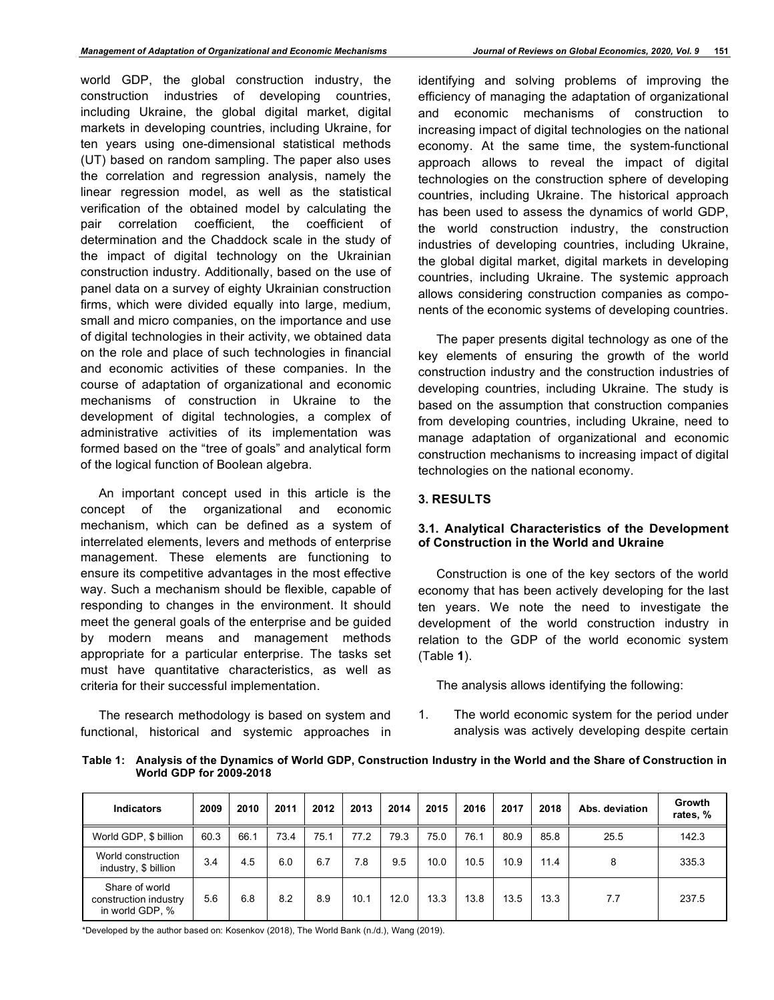world GDP, the global construction industry, the construction industries of developing countries, including Ukraine, the global digital market, digital markets in developing countries, including Ukraine, for ten years using one-dimensional statistical methods (UT) based on random sampling. The paper also uses the correlation and regression analysis, namely the linear regression model, as well as the statistical verification of the obtained model by calculating the pair correlation coefficient, the coefficient of determination and the Chaddock scale in the study of the impact of digital technology on the Ukrainian construction industry. Additionally, based on the use of panel data on a survey of eighty Ukrainian construction firms, which were divided equally into large, medium, small and micro companies, on the importance and use of digital technologies in their activity, we obtained data on the role and place of such technologies in financial and economic activities of these companies. In the course of adaptation of organizational and economic mechanisms of construction in Ukraine to the development of digital technologies, a complex of administrative activities of its implementation was formed based on the "tree of goals" and analytical form of the logical function of Boolean algebra.

An important concept used in this article is the concept of the organizational and economic mechanism, which can be defined as a system of interrelated elements, levers and methods of enterprise management. These elements are functioning to ensure its competitive advantages in the most effective way. Such a mechanism should be flexible, capable of responding to changes in the environment. It should meet the general goals of the enterprise and be guided by modern means and management methods appropriate for a particular enterprise. The tasks set must have quantitative characteristics, as well as criteria for their successful implementation.

The research methodology is based on system and functional, historical and systemic approaches in

identifying and solving problems of improving the efficiency of managing the adaptation of organizational and economic mechanisms of construction to increasing impact of digital technologies on the national economy. At the same time, the system-functional approach allows to reveal the impact of digital technologies on the construction sphere of developing countries, including Ukraine. The historical approach has been used to assess the dynamics of world GDP, the world construction industry, the construction industries of developing countries, including Ukraine, the global digital market, digital markets in developing countries, including Ukraine. The systemic approach allows considering construction companies as components of the economic systems of developing countries.

The paper presents digital technology as one of the key elements of ensuring the growth of the world construction industry and the construction industries of developing countries, including Ukraine. The study is based on the assumption that construction companies from developing countries, including Ukraine, need to manage adaptation of organizational and economic construction mechanisms to increasing impact of digital technologies on the national economy.

# **3. RESULTS**

# **3.1. Analytical Characteristics of the Development of Construction in the World and Ukraine**

Construction is one of the key sectors of the world economy that has been actively developing for the last ten years. We note the need to investigate the development of the world construction industry in relation to the GDP of the world economic system (Table **1**).

The analysis allows identifying the following:

1. The world economic system for the period under analysis was actively developing despite certain

**Table 1: Analysis of the Dynamics of World GDP, Construction Industry in the World and the Share of Construction in World GDP for 2009-2018**

| <b>Indicators</b>                                          | 2009 | 2010 | 2011 | 2012 | 2013 | 2014 | 2015 | 2016 | 2017 | 2018 | Abs. deviation | Growth<br>rates, % |
|------------------------------------------------------------|------|------|------|------|------|------|------|------|------|------|----------------|--------------------|
| World GDP, \$ billion                                      | 60.3 | 66.1 | 73.4 | 75.1 | 77.2 | 79.3 | 75.0 | 76.1 | 80.9 | 85.8 | 25.5           | 142.3              |
| World construction<br>industry, \$ billion                 | 3.4  | 4.5  | 6.0  | 6.7  | 7.8  | 9.5  | 10.0 | 10.5 | 10.9 | 11.4 | 8              | 335.3              |
| Share of world<br>construction industry<br>in world GDP, % | 5.6  | 6.8  | 8.2  | 8.9  | 10.1 | 12.0 | 13.3 | 13.8 | 13.5 | 13.3 | 7.7            | 237.5              |

\*Developed by the author based on: Kosenkov (2018), The World Bank (n./d.), Wang (2019).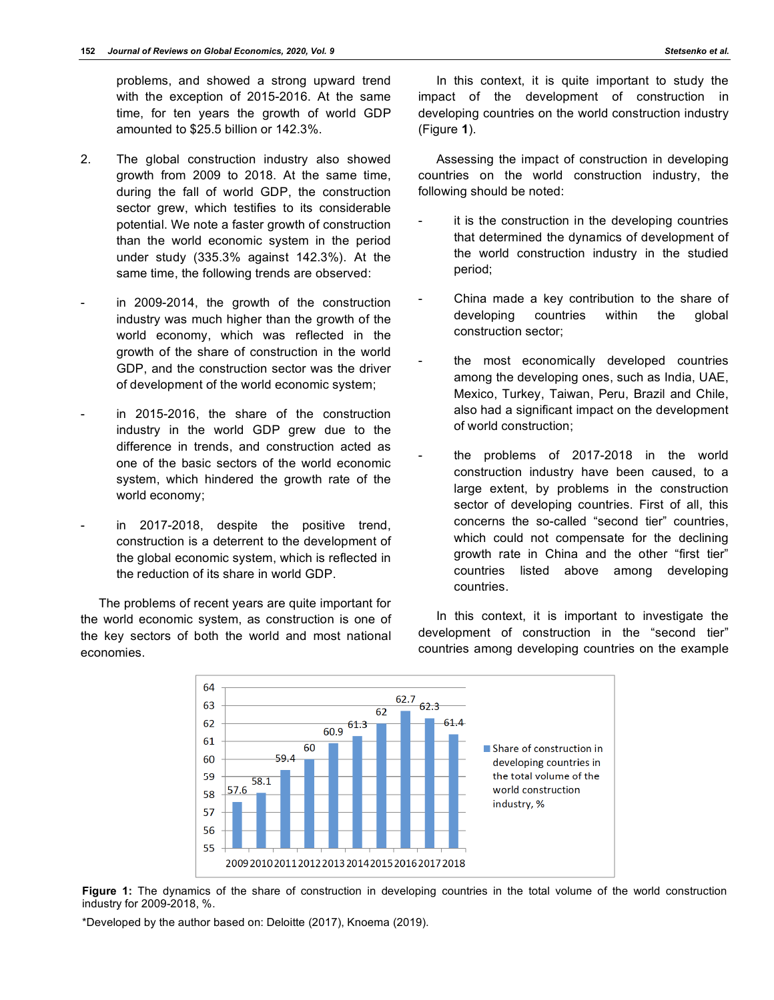problems, and showed a strong upward trend with the exception of 2015-2016. At the same time, for ten years the growth of world GDP amounted to \$25.5 billion or 142.3%.

- 2. The global construction industry also showed growth from 2009 to 2018. At the same time, during the fall of world GDP, the construction sector grew, which testifies to its considerable potential. We note a faster growth of construction than the world economic system in the period under study (335.3% against 142.3%). At the same time, the following trends are observed:
- in 2009-2014, the growth of the construction industry was much higher than the growth of the world economy, which was reflected in the growth of the share of construction in the world GDP, and the construction sector was the driver of development of the world economic system;
- in 2015-2016, the share of the construction industry in the world GDP grew due to the difference in trends, and construction acted as one of the basic sectors of the world economic system, which hindered the growth rate of the world economy;
- in 2017-2018, despite the positive trend, construction is a deterrent to the development of the global economic system, which is reflected in the reduction of its share in world GDP.

The problems of recent years are quite important for the world economic system, as construction is one of the key sectors of both the world and most national economies.

In this context, it is quite important to study the impact of the development of construction in developing countries on the world construction industry (Figure **1**).

Assessing the impact of construction in developing countries on the world construction industry, the following should be noted:

- it is the construction in the developing countries that determined the dynamics of development of the world construction industry in the studied period;
- China made a key contribution to the share of developing countries within the global construction sector;
- the most economically developed countries among the developing ones, such as India, UAE, Mexico, Turkey, Taiwan, Peru, Brazil and Chile, also had a significant impact on the development of world construction;
- the problems of 2017-2018 in the world construction industry have been caused, to a large extent, by problems in the construction sector of developing countries. First of all, this concerns the so-called "second tier" countries, which could not compensate for the declining growth rate in China and the other "first tier" countries listed above among developing countries.

In this context, it is important to investigate the development of construction in the "second tier" countries among developing countries on the example



Figure 1: The dynamics of the share of construction in developing countries in the total volume of the world construction industry for 2009-2018, %.

\*Developed by the author based on: Deloitte (2017), Knoema (2019).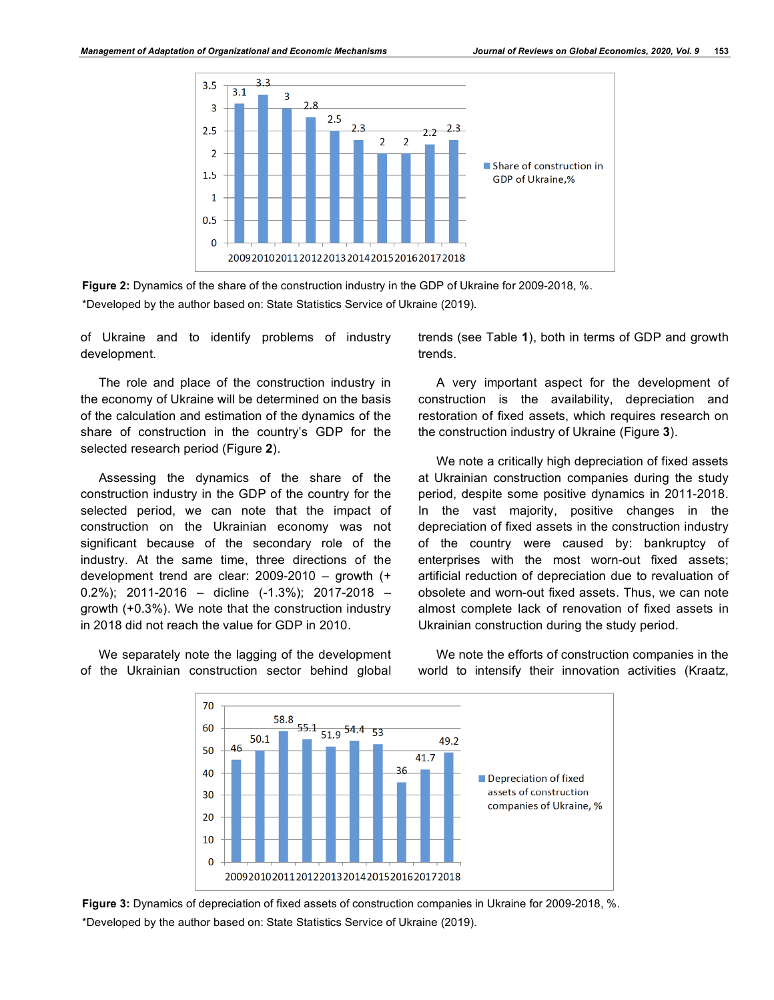



of Ukraine and to identify problems of industry development.

The role and place of the construction industry in the economy of Ukraine will be determined on the basis of the calculation and estimation of the dynamics of the share of construction in the country's GDP for the selected research period (Figure **2**).

Assessing the dynamics of the share of the construction industry in the GDP of the country for the selected period, we can note that the impact of construction on the Ukrainian economy was not significant because of the secondary role of the industry. At the same time, three directions of the development trend are clear: 2009-2010 – growth (+ 0.2%); 2011-2016 – dicline (-1.3%); 2017-2018 – growth (+0.3%). We note that the construction industry in 2018 did not reach the value for GDP in 2010.

We separately note the lagging of the development of the Ukrainian construction sector behind global

trends (see Table **1**), both in terms of GDP and growth trends.

A very important aspect for the development of construction is the availability, depreciation and restoration of fixed assets, which requires research on the construction industry of Ukraine (Figure **3**).

We note a critically high depreciation of fixed assets at Ukrainian construction companies during the study period, despite some positive dynamics in 2011-2018. In the vast majority, positive changes in the depreciation of fixed assets in the construction industry of the country were caused by: bankruptcy of enterprises with the most worn-out fixed assets; artificial reduction of depreciation due to revaluation of obsolete and worn-out fixed assets. Thus, we can note almost complete lack of renovation of fixed assets in Ukrainian construction during the study period.



We note the efforts of construction companies in the world to intensify their innovation activities (Kraatz,

**Figure 3:** Dynamics of depreciation of fixed assets of construction companies in Ukraine for 2009-2018, %. \*Developed by the author based on: State Statistics Service of Ukraine (2019).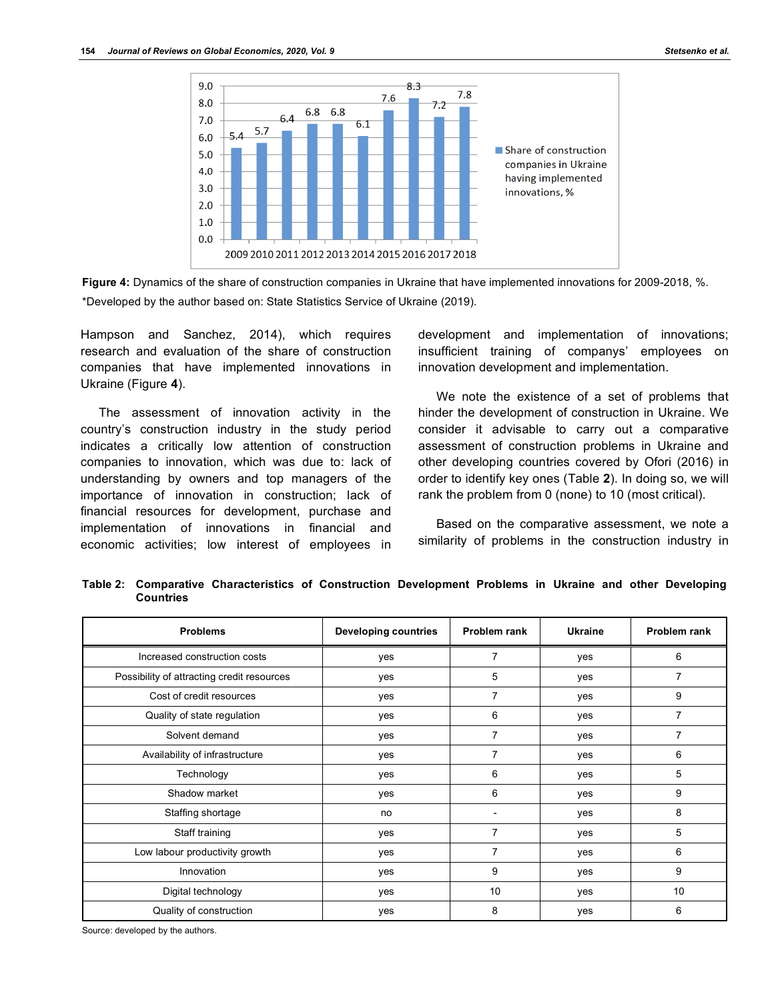

**Figure 4:** Dynamics of the share of construction companies in Ukraine that have implemented innovations for 2009-2018, %. \*Developed by the author based on: State Statistics Service of Ukraine (2019).

Hampson and Sanchez, 2014), which requires research and evaluation of the share of construction companies that have implemented innovations in Ukraine (Figure **4**).

The assessment of innovation activity in the country's construction industry in the study period indicates a critically low attention of construction companies to innovation, which was due to: lack of understanding by owners and top managers of the importance of innovation in construction; lack of financial resources for development, purchase and implementation of innovations in financial and economic activities; low interest of employees in development and implementation of innovations; insufficient training of companys' employees on innovation development and implementation.

We note the existence of a set of problems that hinder the development of construction in Ukraine. We consider it advisable to carry out a comparative assessment of construction problems in Ukraine and other developing countries covered by Ofori (2016) in order to identify key ones (Table **2**). In doing so, we will rank the problem from 0 (none) to 10 (most critical).

Based on the comparative assessment, we note a similarity of problems in the construction industry in

| <b>Problems</b>                            | <b>Developing countries</b> | Problem rank | <b>Ukraine</b> | Problem rank |
|--------------------------------------------|-----------------------------|--------------|----------------|--------------|
| Increased construction costs               | yes                         | 7            | yes            | 6            |
| Possibility of attracting credit resources | yes                         | 5            | yes            | 7            |
| Cost of credit resources                   | yes                         | 7            | yes            | 9            |
| Quality of state regulation                | yes                         | 6            | yes            | 7            |
| Solvent demand                             | yes                         | 7            | yes            | 7            |
| Availability of infrastructure             | yes                         | 7            | yes            | 6            |
| Technology                                 | yes                         | 6            | yes            | 5            |
| Shadow market                              | yes                         | 6            | yes            | 9            |
| Staffing shortage                          | no                          |              | yes            | 8            |
| Staff training                             | yes                         | 7            | yes            | 5            |
| Low labour productivity growth             | yes                         |              | yes            | 6            |
| Innovation                                 | yes                         | 9            | yes            | 9            |
| Digital technology                         | yes                         | 10           | yes            | 10           |
| Quality of construction                    | yes                         | 8            | yes            | 6            |

**Table 2: Comparative Characteristics of Construction Development Problems in Ukraine and other Developing Countries**

Source: developed by the authors.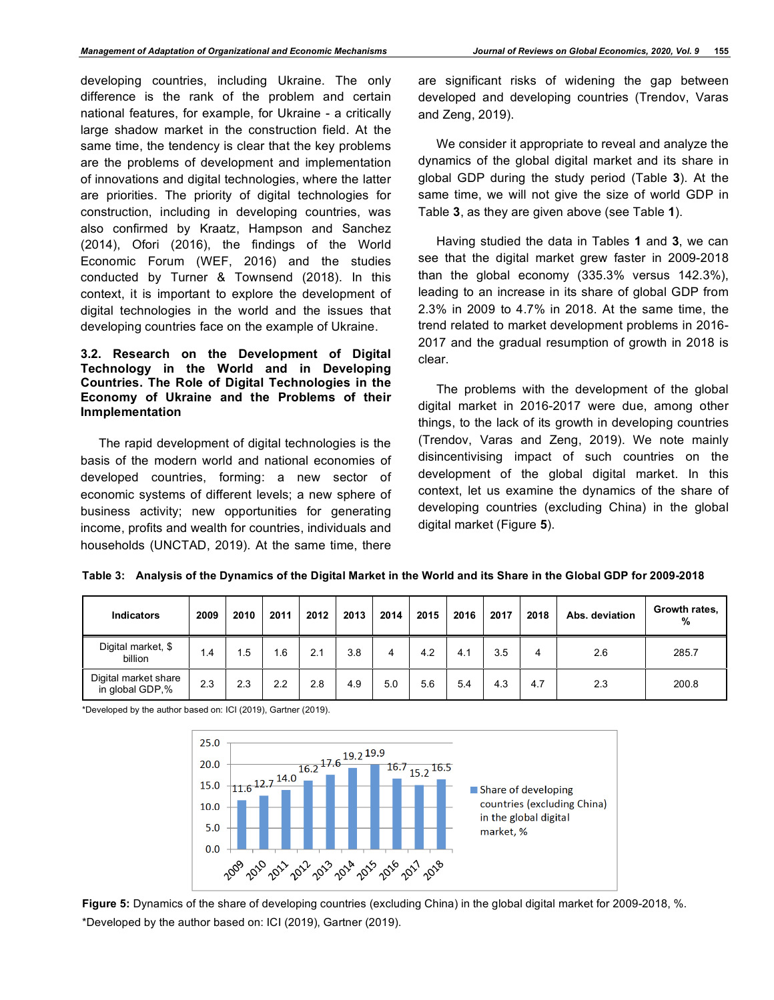developing countries, including Ukraine. The only difference is the rank of the problem and certain national features, for example, for Ukraine - a critically large shadow market in the construction field. At the same time, the tendency is clear that the key problems are the problems of development and implementation of innovations and digital technologies, where the latter are priorities. The priority of digital technologies for construction, including in developing countries, was also confirmed by Kraatz, Hampson and Sanchez (2014), Ofori (2016), the findings of the World Economic Forum (WEF, 2016) and the studies conducted by Turner & Townsend (2018). In this context, it is important to explore the development of digital technologies in the world and the issues that developing countries face on the example of Ukraine.

#### **3.2. Research on the Development of Digital Technology in the World and in Developing Countries. The Role of Digital Technologies in the Economy of Ukraine and the Problems of their Inmplementation**

The rapid development of digital technologies is the basis of the modern world and national economies of developed countries, forming: a new sector of economic systems of different levels; a new sphere of business activity; new opportunities for generating income, profits and wealth for countries, individuals and households (UNCTAD, 2019). At the same time, there

are significant risks of widening the gap between developed and developing countries (Trendov, Varas and Zeng, 2019).

We consider it appropriate to reveal and analyze the dynamics of the global digital market and its share in global GDP during the study period (Table **3**). At the same time, we will not give the size of world GDP in Table **3**, as they are given above (see Table **1**).

Having studied the data in Tables **1** and **3**, we can see that the digital market grew faster in 2009-2018 than the global economy (335.3% versus 142.3%), leading to an increase in its share of global GDP from 2.3% in 2009 to 4.7% in 2018. At the same time, the trend related to market development problems in 2016- 2017 and the gradual resumption of growth in 2018 is clear.

The problems with the development of the global digital market in 2016-2017 were due, among other things, to the lack of its growth in developing countries (Trendov, Varas and Zeng, 2019). We note mainly disincentivising impact of such countries on the development of the global digital market. In this context, let us examine the dynamics of the share of developing countries (excluding China) in the global digital market (Figure **5**).

| <b>Indicators</b>                       | 2009 | 2010 | 2011 | 2012 | 2013 | 2014 | 2015 | 2016 | 2017 | 2018 | Abs. deviation | Growth rates,<br>% |
|-----------------------------------------|------|------|------|------|------|------|------|------|------|------|----------------|--------------------|
| Digital market, \$<br>billion           | 1.4  | ۱.5  | . 6  | 2.1  | 3.8  | 4    | 4.2  | 4.1  | 3.5  | 4    | 2.6            | 285.7              |
| Digital market share<br>in global GDP,% | 2.3  | 2.3  | 2.2  | 2.8  | 4.9  | 5.0  | 5.6  | 5.4  | 4.3  | 4.7  | 2.3            | 200.8              |

**Table 3: Analysis of the Dynamics of the Digital Market in the World and its Share in the Global GDP for 2009-2018**

\*Developed by the author based on: ICI (2019), Gartner (2019).



**Figure 5:** Dynamics of the share of developing countries (excluding China) in the global digital market for 2009-2018, %. \*Developed by the author based on: ICI (2019), Gartner (2019).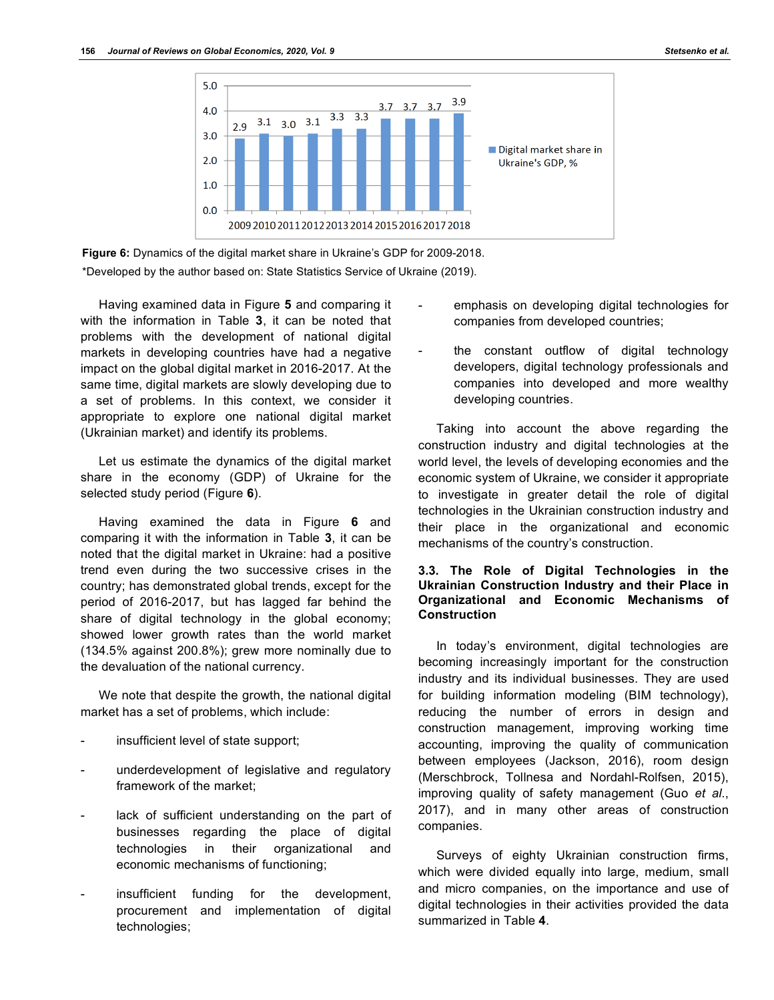



**Figure 6:** Dynamics of the digital market share in Ukraine's GDP for 2009-2018. \*Developed by the author based on: State Statistics Service of Ukraine (2019).

Having examined data in Figure **5** and comparing it with the information in Table **3**, it can be noted that problems with the development of national digital markets in developing countries have had a negative impact on the global digital market in 2016-2017. At the same time, digital markets are slowly developing due to a set of problems. In this context, we consider it appropriate to explore one national digital market (Ukrainian market) and identify its problems.

Let us estimate the dynamics of the digital market share in the economy (GDP) of Ukraine for the selected study period (Figure **6**).

Having examined the data in Figure **6** and comparing it with the information in Table **3**, it can be noted that the digital market in Ukraine: had a positive trend even during the two successive crises in the country; has demonstrated global trends, except for the period of 2016-2017, but has lagged far behind the share of digital technology in the global economy; showed lower growth rates than the world market (134.5% against 200.8%); grew more nominally due to the devaluation of the national currency.

We note that despite the growth, the national digital market has a set of problems, which include:

- insufficient level of state support;
- underdevelopment of legislative and regulatory framework of the market;
- lack of sufficient understanding on the part of businesses regarding the place of digital technologies in their organizational and economic mechanisms of functioning;
- insufficient funding for the development, procurement and implementation of digital technologies;
- emphasis on developing digital technologies for companies from developed countries;
- the constant outflow of digital technology developers, digital technology professionals and companies into developed and more wealthy developing countries.

Taking into account the above regarding the construction industry and digital technologies at the world level, the levels of developing economies and the economic system of Ukraine, we consider it appropriate to investigate in greater detail the role of digital technologies in the Ukrainian construction industry and their place in the organizational and economic mechanisms of the country's construction.

## **3.3. The Role of Digital Technologies in the Ukrainian Construction Industry and their Place in Organizational and Economic Mechanisms of Construction**

In today's environment, digital technologies are becoming increasingly important for the construction industry and its individual businesses. They are used for building information modeling (BIM technology), reducing the number of errors in design and construction management, improving working time accounting, improving the quality of communication between employees (Jackson, 2016), room design (Merschbrock, Tollnesa and Nordahl-Rolfsen, 2015), improving quality of safety management (Guo *et al*., 2017), and in many other areas of construction companies.

Surveys of eighty Ukrainian construction firms, which were divided equally into large, medium, small and micro companies, on the importance and use of digital technologies in their activities provided the data summarized in Table **4**.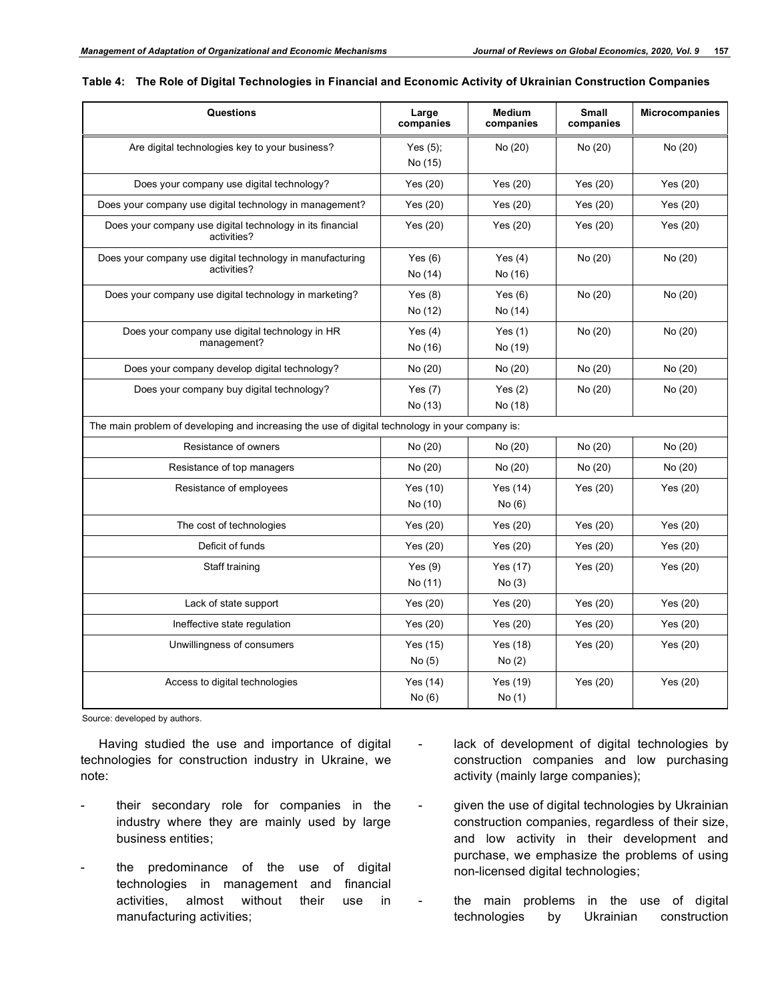| Questions                                                                                       | Large<br>companies     | Medium<br>companies  | <b>Small</b><br>companies | <b>Microcompanies</b> |
|-------------------------------------------------------------------------------------------------|------------------------|----------------------|---------------------------|-----------------------|
| Are digital technologies key to your business?                                                  | Yes $(5)$ ;<br>No (15) | No (20)              | No (20)                   | No (20)               |
| Does your company use digital technology?                                                       | Yes $(20)$             | Yes $(20)$           | Yes $(20)$                | Yes (20)              |
| Does your company use digital technology in management?                                         | Yes (20)               | Yes $(20)$           | Yes $(20)$                | Yes (20)              |
| Does your company use digital technology in its financial<br>activities?                        | Yes (20)               | Yes (20)             | Yes (20)                  | Yes (20)              |
| Does your company use digital technology in manufacturing<br>activities?                        | Yes $(6)$<br>No (14)   | Yes $(4)$<br>No (16) | No (20)                   | No (20)               |
| Does your company use digital technology in marketing?                                          | Yes $(8)$<br>No (12)   | Yes $(6)$<br>No (14) | No (20)                   | No (20)               |
| Does your company use digital technology in HR<br>management?                                   | Yes $(4)$<br>No (16)   | Yes $(1)$<br>No (19) | No (20)                   | No (20)               |
| Does your company develop digital technology?                                                   | No (20)                | No (20)              | No (20)                   | No (20)               |
| Does your company buy digital technology?                                                       | Yes $(7)$<br>No (13)   | Yes $(2)$<br>No (18) | No (20)                   | No (20)               |
| The main problem of developing and increasing the use of digital technology in your company is: |                        |                      |                           |                       |
| Resistance of owners                                                                            | No (20)                | No (20)              | No (20)                   | No (20)               |
| Resistance of top managers                                                                      | No (20)                | No (20)              | No (20)                   | No (20)               |
| Resistance of employees                                                                         | Yes (10)<br>No (10)    | Yes $(14)$<br>No(6)  | Yes $(20)$                | Yes (20)              |
| The cost of technologies                                                                        | Yes (20)               | Yes $(20)$           | Yes (20)                  | Yes (20)              |
| Deficit of funds                                                                                | Yes $(20)$             | Yes $(20)$           | Yes (20)                  | Yes (20)              |
| Staff training                                                                                  | Yes $(9)$<br>No (11)   | Yes (17)<br>No(3)    | Yes (20)                  | Yes (20)              |
| Lack of state support                                                                           | Yes (20)               | Yes $(20)$           | Yes (20)                  | Yes (20)              |
| Ineffective state regulation                                                                    | Yes (20)               | Yes (20)             | Yes $(20)$                | Yes $(20)$            |
| Unwillingness of consumers                                                                      | Yes $(15)$<br>No(5)    | Yes (18)<br>No(2)    | Yes $(20)$                | Yes (20)              |
| Access to digital technologies                                                                  | Yes $(14)$<br>No(6)    | Yes (19)<br>No(1)    | Yes (20)                  | Yes (20)              |

|  |  |  | Table 4: The Role of Digital Technologies in Financial and Economic Activity of Ukrainian Construction Companies |
|--|--|--|------------------------------------------------------------------------------------------------------------------|
|  |  |  |                                                                                                                  |

Source: developed by authors.

Having studied the use and importance of digital technologies for construction industry in Ukraine, we note:

- their secondary role for companies in the industry where they are mainly used by large business entities;
- the predominance of the use of digital technologies in management and financial activities, almost without their use in manufacturing activities;
- lack of development of digital technologies by construction companies and low purchasing activity (mainly large companies);
- given the use of digital technologies by Ukrainian construction companies, regardless of their size, and low activity in their development and purchase, we emphasize the problems of using non-licensed digital technologies;
- the main problems in the use of digital technologies by Ukrainian construction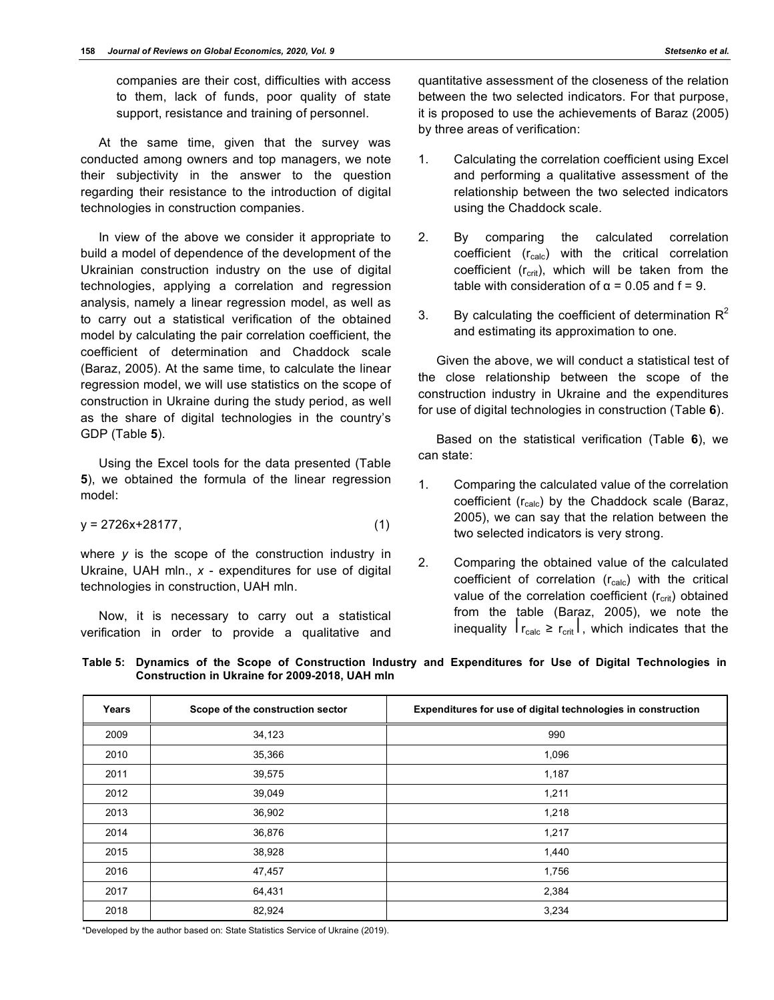companies are their cost, difficulties with access to them, lack of funds, poor quality of state support, resistance and training of personnel.

At the same time, given that the survey was conducted among owners and top managers, we note their subjectivity in the answer to the question regarding their resistance to the introduction of digital technologies in construction companies.

In view of the above we consider it appropriate to build a model of dependence of the development of the Ukrainian construction industry on the use of digital technologies, applying a correlation and regression analysis, namely a linear regression model, as well as to carry out a statistical verification of the obtained model by calculating the pair correlation coefficient, the coefficient of determination and Chaddock scale (Baraz, 2005). At the same time, to calculate the linear regression model, we will use statistics on the scope of construction in Ukraine during the study period, as well as the share of digital technologies in the country's GDP (Table **5**).

Using the Excel tools for the data presented (Table **5**), we obtained the formula of the linear regression model:

$$
y = 2726x + 28177, \tag{1}
$$

where *y* is the scope of the construction industry in Ukraine, UAH mln., *x* - expenditures for use of digital technologies in construction, UAH mln.

Now, it is necessary to carry out a statistical verification in order to provide a qualitative and quantitative assessment of the closeness of the relation between the two selected indicators. For that purpose, it is proposed to use the achievements of Baraz (2005) by three areas of verification:

- 1. Calculating the correlation coefficient using Excel and performing a qualitative assessment of the relationship between the two selected indicators using the Chaddock scale.
- 2. By comparing the calculated correlation coefficient  $(r_{calc})$  with the critical correlation coefficient  $(r_{\text{crit}})$ , which will be taken from the table with consideration of  $α = 0.05$  and  $f = 9$ .
- 3. By calculating the coefficient of determination  $R^2$ and estimating its approximation to one.

Given the above, we will conduct a statistical test of the close relationship between the scope of the construction industry in Ukraine and the expenditures for use of digital technologies in construction (Table **6**).

Based on the statistical verification (Table **6**), we can state:

- 1. Comparing the calculated value of the correlation coefficient (r<sub>calc</sub>) by the Chaddock scale (Baraz, 2005), we can say that the relation between the two selected indicators is very strong.
- 2. Comparing the obtained value of the calculated coefficient of correlation  $(r_{calc})$  with the critical value of the correlation coefficient  $(r_{\text{crit}})$  obtained from the table (Baraz, 2005), we note the inequality  $|r_{\text{calc}} \ge r_{\text{crit}}|$ , which indicates that the

| Table 5: Dynamics of the Scope of Construction Industry and Expenditures for Use of Digital Technologies in |  |  |  |  |
|-------------------------------------------------------------------------------------------------------------|--|--|--|--|
| Construction in Ukraine for 2009-2018, UAH mln                                                              |  |  |  |  |

| Years | Scope of the construction sector | Expenditures for use of digital technologies in construction |
|-------|----------------------------------|--------------------------------------------------------------|
| 2009  | 34,123                           | 990                                                          |
| 2010  | 35,366                           | 1,096                                                        |
| 2011  | 39,575                           | 1,187                                                        |
| 2012  | 39,049                           | 1,211                                                        |
| 2013  | 36,902                           | 1,218                                                        |
| 2014  | 36,876                           | 1,217                                                        |
| 2015  | 38,928                           | 1,440                                                        |
| 2016  | 47,457                           | 1,756                                                        |
| 2017  | 64,431                           | 2,384                                                        |
| 2018  | 82,924                           | 3,234                                                        |

\*Developed by the author based on: State Statistics Service of Ukraine (2019).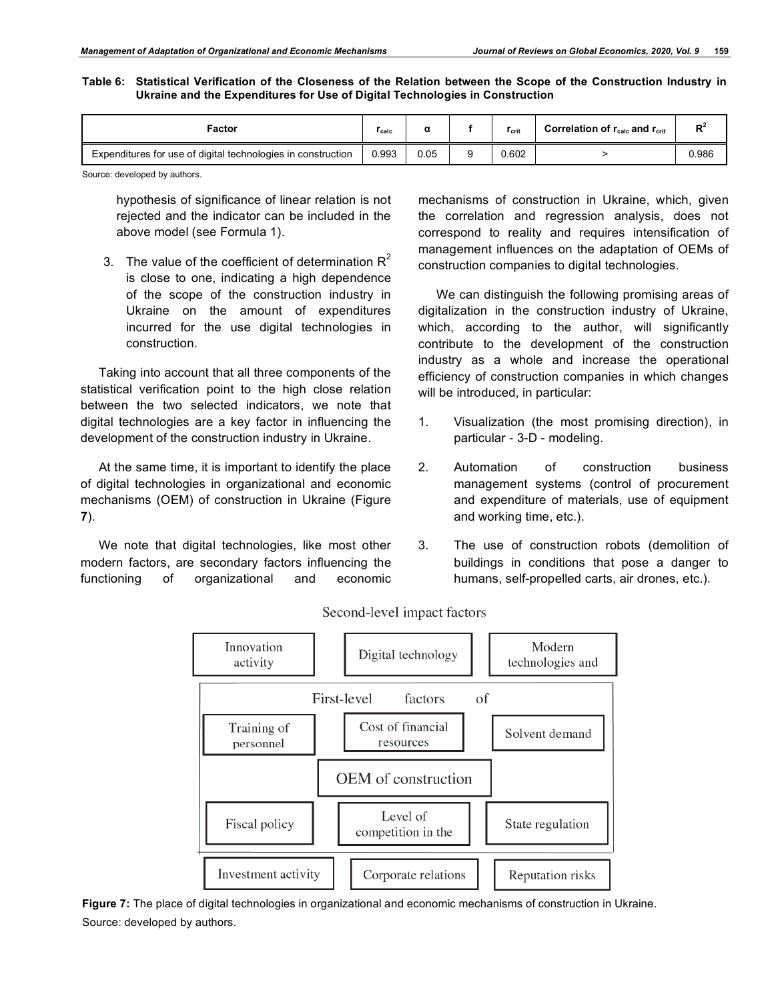**Table 6: Statistical Verification of the Closeness of the Relation between the Scope of the Construction Industry in Ukraine and the Expenditures for Use of Digital Technologies in Construction**

| Factor                                                       | I calc |      | <b>T</b> crit | Correlation of $r_{\text{calc}}$ and $r_{\text{crit}}$ | D.    |
|--------------------------------------------------------------|--------|------|---------------|--------------------------------------------------------|-------|
| Expenditures for use of digital technologies in construction | 0.993  | 0.05 | 0.602         |                                                        | ს.986 |

Source: developed by authors.

hypothesis of significance of linear relation is not rejected and the indicator can be included in the above model (see Formula 1).

3. The value of the coefficient of determination  $R^2$ is close to one, indicating a high dependence of the scope of the construction industry in Ukraine on the amount of expenditures incurred for the use digital technologies in construction.

Taking into account that all three components of the statistical verification point to the high close relation between the two selected indicators, we note that digital technologies are a key factor in influencing the development of the construction industry in Ukraine.

At the same time, it is important to identify the place of digital technologies in organizational and economic mechanisms (OEM) of construction in Ukraine (Figure **7**).

We note that digital technologies, like most other modern factors, are secondary factors influencing the functioning of organizational and economic mechanisms of construction in Ukraine, which, given the correlation and regression analysis, does not correspond to reality and requires intensification of management influences on the adaptation of OEMs of construction companies to digital technologies.

We can distinguish the following promising areas of digitalization in the construction industry of Ukraine, which, according to the author, will significantly contribute to the development of the construction industry as a whole and increase the operational efficiency of construction companies in which changes will be introduced, in particular:

- 1. Visualization (the most promising direction), in particular - 3-D - modeling.
- 2. Automation of construction business management systems (control of procurement and expenditure of materials, use of equipment and working time, etc.).
- 3. The use of construction robots (demolition of buildings in conditions that pose a danger to humans, self-propelled carts, air drones, etc.).



Second-level impact factors

**Figure 7:** The place of digital technologies in organizational and economic mechanisms of construction in Ukraine. Source: developed by authors.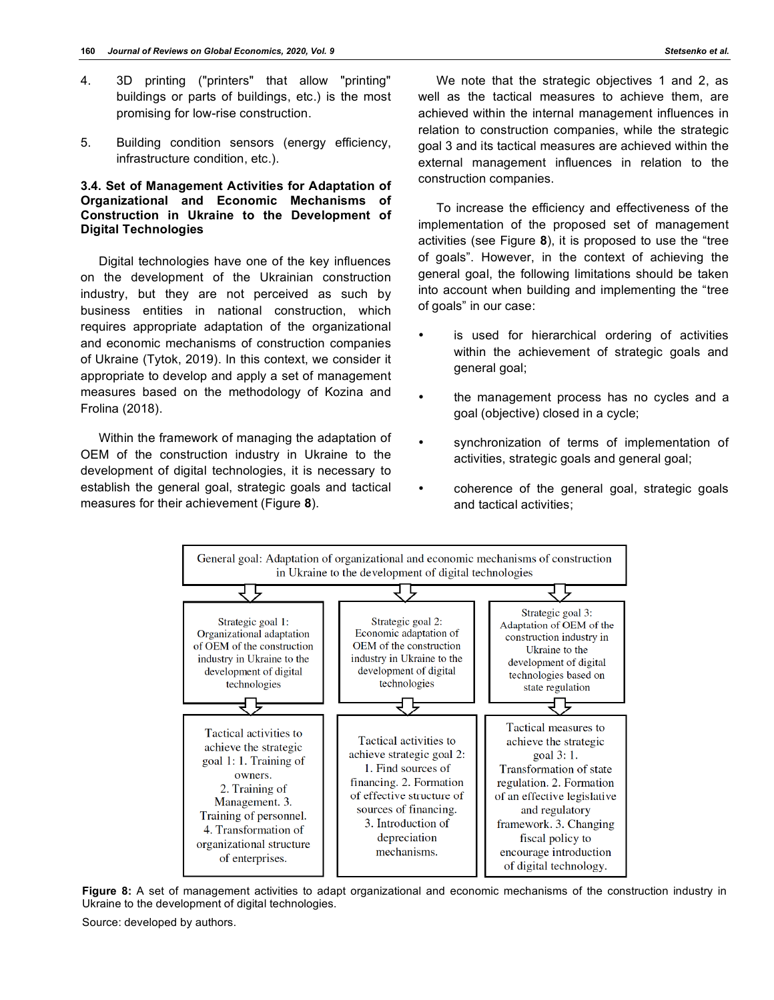- 4. 3D printing ("printers" that allow "printing" buildings or parts of buildings, etc.) is the most promising for low-rise construction.
- 5. Building condition sensors (energy efficiency, infrastructure condition, etc.).

## **3.4. Set of Management Activities for Adaptation of Organizational and Economic Mechanisms of Construction in Ukraine to the Development of Digital Technologies**

Digital technologies have one of the key influences on the development of the Ukrainian construction industry, but they are not perceived as such by business entities in national construction, which requires appropriate adaptation of the organizational and economic mechanisms of construction companies of Ukraine (Tytok, 2019). In this context, we consider it appropriate to develop and apply a set of management measures based on the methodology of Kozina and Frolina (2018).

Within the framework of managing the adaptation of OEM of the construction industry in Ukraine to the development of digital technologies, it is necessary to establish the general goal, strategic goals and tactical measures for their achievement (Figure **8**).

We note that the strategic objectives 1 and 2, as well as the tactical measures to achieve them, are achieved within the internal management influences in relation to construction companies, while the strategic goal 3 and its tactical measures are achieved within the external management influences in relation to the construction companies.

To increase the efficiency and effectiveness of the implementation of the proposed set of management activities (see Figure **8**), it is proposed to use the "tree of goals". However, in the context of achieving the general goal, the following limitations should be taken into account when building and implementing the "tree of goals" in our case:

- is used for hierarchical ordering of activities within the achievement of strategic goals and general goal;
- the management process has no cycles and a goal (objective) closed in a cycle;
- synchronization of terms of implementation of activities, strategic goals and general goal;
- coherence of the general goal, strategic goals and tactical activities;



**Figure 8:** A set of management activities to adapt organizational and economic mechanisms of the construction industry in Ukraine to the development of digital technologies.

Source: developed by authors.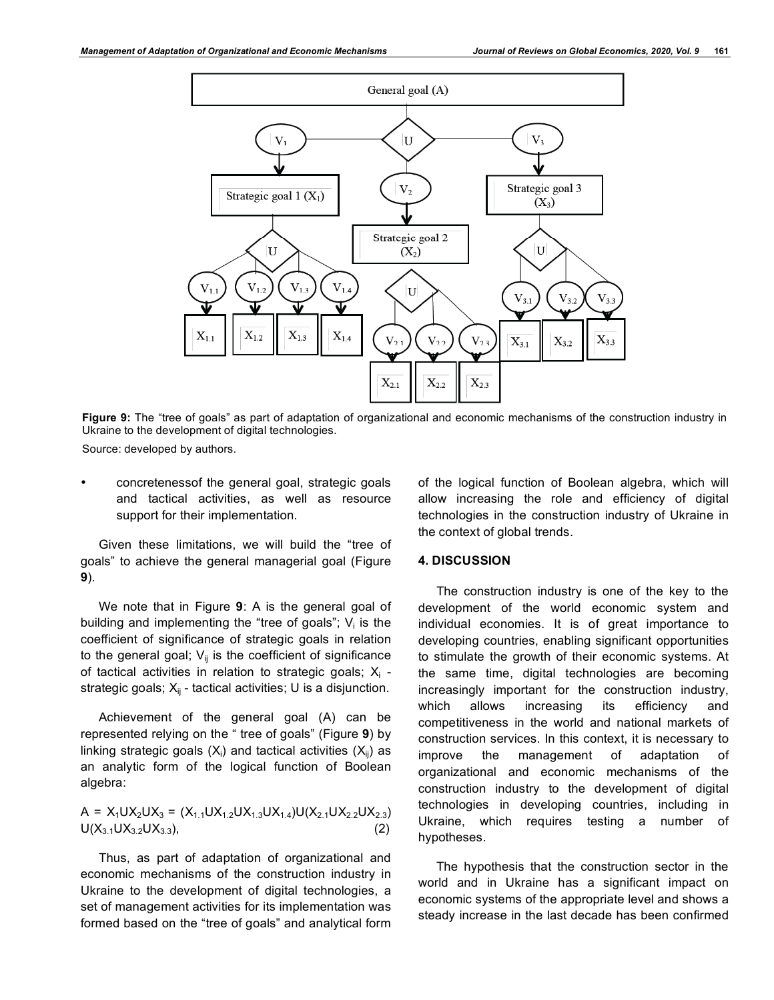

**Figure 9:** The "tree of goals" as part of adaptation of organizational and economic mechanisms of the construction industry in Ukraine to the development of digital technologies.

Source: developed by authors.

• concretenessof the general goal, strategic goals and tactical activities, as well as resource support for their implementation.

Given these limitations, we will build the "tree of goals" to achieve the general managerial goal (Figure **9**).

We note that in Figure **9**: A is the general goal of building and implementing the "tree of goals";  $V_i$  is the coefficient of significance of strategic goals in relation to the general goal;  $V_{ii}$  is the coefficient of significance of tactical activities in relation to strategic goals;  $X_i$  strategic goals;  $X_{ii}$  - tactical activities; U is a disjunction.

Achievement of the general goal (A) can be represented relying on the " tree of goals" (Figure **9**) by linking strategic goals  $(X_i)$  and tactical activities  $(X_{ii})$  as an analytic form of the logical function of Boolean algebra:

А = Х1UX2UX3 = (X1.1UX1.2UХ1.3UХ1.4)U(Х2.1UХ2.2UХ2.3) U(Х3.1UХ3.2UХ3.3), (2)

Thus, as part of adaptation of organizational and economic mechanisms of the construction industry in Ukraine to the development of digital technologies, a set of management activities for its implementation was formed based on the "tree of goals" and analytical form of the logical function of Boolean algebra, which will allow increasing the role and efficiency of digital technologies in the construction industry of Ukraine in the context of global trends.

#### **4. DISCUSSION**

The construction industry is one of the key to the development of the world economic system and individual economies. It is of great importance to developing countries, enabling significant opportunities to stimulate the growth of their economic systems. At the same time, digital technologies are becoming increasingly important for the construction industry, which allows increasing its efficiency and competitiveness in the world and national markets of construction services. In this context, it is necessary to improve the management of adaptation of organizational and economic mechanisms of the construction industry to the development of digital technologies in developing countries, including in Ukraine, which requires testing a number of hypotheses.

The hypothesis that the construction sector in the world and in Ukraine has a significant impact on economic systems of the appropriate level and shows a steady increase in the last decade has been confirmed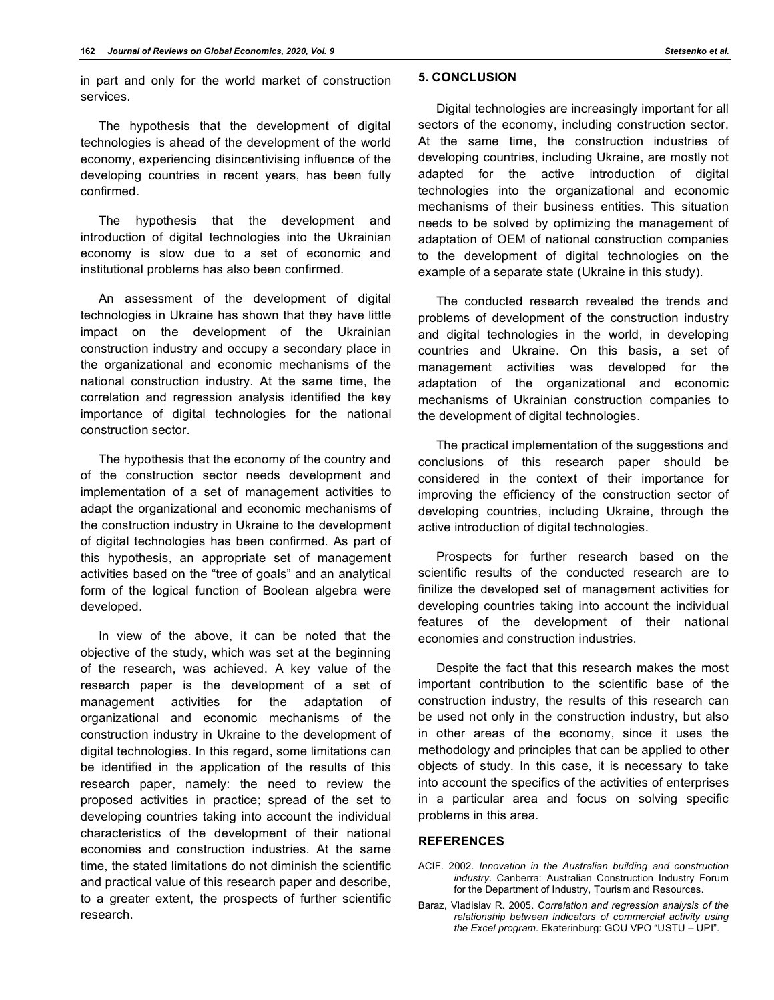The hypothesis that the development of digital technologies is ahead of the development of the world economy, experiencing disincentivising influence of the developing countries in recent years, has been fully confirmed.

The hypothesis that the development and introduction of digital technologies into the Ukrainian economy is slow due to a set of economic and institutional problems has also been confirmed.

An assessment of the development of digital technologies in Ukraine has shown that they have little impact on the development of the Ukrainian construction industry and occupy a secondary place in the organizational and economic mechanisms of the national construction industry. At the same time, the correlation and regression analysis identified the key importance of digital technologies for the national construction sector.

The hypothesis that the economy of the country and of the construction sector needs development and implementation of a set of management activities to adapt the organizational and economic mechanisms of the construction industry in Ukraine to the development of digital technologies has been confirmed. As part of this hypothesis, an appropriate set of management activities based on the "tree of goals" and an analytical form of the logical function of Boolean algebra were developed.

In view of the above, it can be noted that the objective of the study, which was set at the beginning of the research, was achieved. A key value of the research paper is the development of a set of management activities for the adaptation of organizational and economic mechanisms of the construction industry in Ukraine to the development of digital technologies. In this regard, some limitations can be identified in the application of the results of this research paper, namely: the need to review the proposed activities in practice; spread of the set to developing countries taking into account the individual characteristics of the development of their national economies and construction industries. At the same time, the stated limitations do not diminish the scientific and practical value of this research paper and describe, to a greater extent, the prospects of further scientific research.

Digital technologies are increasingly important for all sectors of the economy, including construction sector. At the same time, the construction industries of developing countries, including Ukraine, are mostly not adapted for the active introduction of digital technologies into the organizational and economic mechanisms of their business entities. This situation needs to be solved by optimizing the management of adaptation of OEM of national construction companies to the development of digital technologies on the example of a separate state (Ukraine in this study).

The conducted research revealed the trends and problems of development of the construction industry and digital technologies in the world, in developing countries and Ukraine. On this basis, a set of management activities was developed for the adaptation of the organizational and economic mechanisms of Ukrainian construction companies to the development of digital technologies.

The practical implementation of the suggestions and conclusions of this research paper should be considered in the context of their importance for improving the efficiency of the construction sector of developing countries, including Ukraine, through the active introduction of digital technologies.

Prospects for further research based on the scientific results of the conducted research are to finilize the developed set of management activities for developing countries taking into account the individual features of the development of their national economies and construction industries.

Despite the fact that this research makes the most important contribution to the scientific base of the construction industry, the results of this research can be used not only in the construction industry, but also in other areas of the economy, since it uses the methodology and principles that can be applied to other objects of study. In this case, it is necessary to take into account the specifics of the activities of enterprises in a particular area and focus on solving specific problems in this area.

## **REFERENCES**

- ACIF. 2002. *Innovation in the Australian building and construction industry*. Canberra: Australian Construction Industry Forum for the Department of Industry, Tourism and Resources.
- Baraz, Vladislav R. 2005. *Correlation and regression analysis of the relationship between indicators of commercial activity using the Excel program*. Ekaterinburg: GOU VPO "USTU – UPI".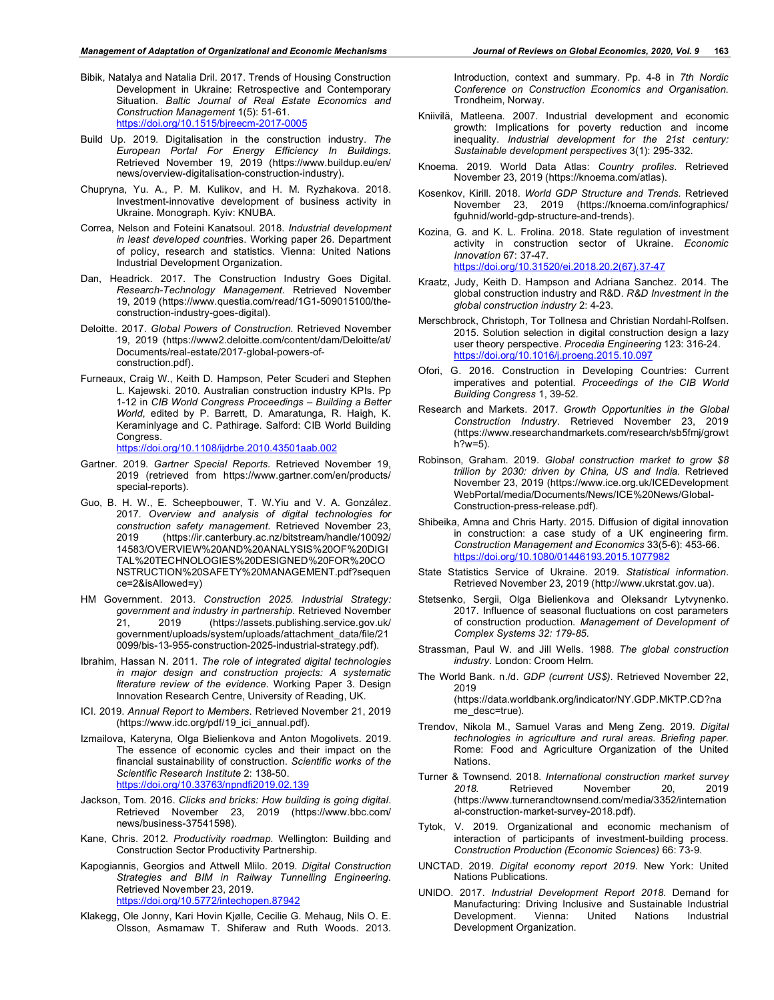- Bibik, Natalya and Natalia Dril. 2017. Trends of Housing Construction Development in Ukraine: Retrospective and Contemporary Situation. *Baltic Journal of Real Estate Economics and Construction Management* 1(5): 51-61. https://doi.org/10.1515/bjreecm-2017-0005
- Build Up. 2019. Digitalisation in the construction industry. *The European Portal For Energy Efficiency In Buildings*. Retrieved November 19, 2019 (https://www.buildup.eu/en/ news/overview-digitalisation-construction-industry).
- Chupryna, Yu. A., P. M. Kulikov, and H. M. Ryzhakova. 2018. Investment-innovative development of business activity in Ukraine. Monograph. Kyiv: KNUBA.
- Correa, Nelson and Foteini Kanatsoul. 2018. *Industrial development in least developed count*ries. Working paper 26. Department of policy, research and statistics. Vienna: United Nations Industrial Development Organization.
- Dan, Headrick. 2017. The Construction Industry Goes Digital. *Research-Technology Management.* Retrieved November 19, 2019 (https://www.questia.com/read/1G1-509015100/theconstruction-industry-goes-digital).
- Deloitte. 2017. *Global Powers of Construction*. Retrieved November 19, 2019 (https://www2.deloitte.com/content/dam/Deloitte/at/ Documents/real-estate/2017-global-powers-ofconstruction.pdf).
- Furneaux, Craig W., Keith D. Hampson, Peter Scuderi and Stephen L. Kajewski. 2010. Australian construction industry KPIs. Pp 1-12 in *CIB World Congress Proceedings – Building a Better World*, edited by P. Barrett, D. Amaratunga, R. Haigh, K. Keraminlyage and C. Pathirage. Salford: CIB World Building Congress. https://doi.org/10.1108/ijdrbe.2010.43501aab.002
	-
- Gartner. 2019. *Gartner Special Reports.* Retrieved November 19, 2019 (retrieved from https://www.gartner.com/en/products/ special-reports).
- Guo, B. H. W., E. Scheepbouwer, T. W.Yiu and V. A. González. 2017. *Overview and analysis of digital technologies for construction safety management*. Retrieved November 23, 2019 (https://ir.canterbury.ac.nz/bitstream/handle/10092/ 14583/OVERVIEW%20AND%20ANALYSIS%20OF%20DIGI TAL%20TECHNOLOGIES%20DESIGNED%20FOR%20CO NSTRUCTION%20SAFETY%20MANAGEMENT.pdf?sequen ce=2&isAllowed=y)
- HM Government. 2013. *Construction 2025. Industrial Strategy: government and industry in partnership*. Retrieved November 21, 2019 (https://assets.publishing.service.gov.uk/ government/uploads/system/uploads/attachment\_data/file/21 0099/bis-13-955-construction-2025-industrial-strategy.pdf).
- Ibrahim, Hassan N. 2011. *The role of integrated digital technologies in major design and construction projects: A systematic literature review of the evidence*. Working Paper 3. Design Innovation Research Centre, University of Reading, UK.
- ICI. 2019. *Annual Report to Members*. Retrieved November 21, 2019 (https://www.idc.org/pdf/19\_ici\_annual.pdf).
- Izmailova, Kateryna, Olga Bielienkova and Anton Mogolivets. 2019. The essence of economic cycles and their impact on the financial sustainability of construction. *Scientific works of the Scientific Research Institute* 2: 138-50. https://doi.org/10.33763/npndfi2019.02.139
- Jackson, Tom. 2016. *Clicks and bricks: How building is going digital*. Retrieved November 23, 2019 (https://www.bbc.com/ news/business-37541598).
- Kane, Chris. 2012. *Productivity roadmap*. Wellington: Building and Construction Sector Productivity Partnership.
- Kapogiannis, Georgios and Attwell Mlilo. 2019. *Digital Construction Strategies and BIM in Railway Tunnelling Engineering*. Retrieved November 23, 2019. https://doi.org/10.5772/intechopen.87942
- Klakegg, Ole Jonny, Kari Hovin Kjølle, Cecilie G. Mehaug, Nils O. E. Olsson, Asmamaw T. Shiferaw and Ruth Woods. 2013.

Introduction, context and summary. Pp. 4-8 in *7th Nordic Conference on Construction Economics and Organisation*. Trondheim, Norway.

- Kniivilä, Matleena. 2007. Industrial development and economic growth: Implications for poverty reduction and income inequality. *Industrial development for the 21st century: Sustainable development perspectives* 3(1): 295-332.
- Knoema. 2019. World Data Atlas: *Country profiles*. Retrieved November 23, 2019 (https://knoema.com/atlas).
- Kosenkov, Kirill. 2018. *World GDP Structure and Trends.* Retrieved November 23, 2019 (https://knoema.com/infographics/ fguhnid/world-gdp-structure-and-trends).
- Kozina, G. and K. L. Frolina. 2018. State regulation of investment activity in construction sector of Ukraine. *Economic Innovation* 67: 37-47. https://doi.org/10.31520/ei.2018.20.2(67).37-47
- Kraatz, Judy, Keith D. Hampson and Adriana Sanchez. 2014. The global construction industry and R&D. *R&D Investment in the global construction industry* 2: 4-23.
- Merschbrock, Christoph, Tor Tollnesa and Christian Nordahl-Rolfsen. 2015. Solution selection in digital construction design a lazy user theory perspective. *Procedia Engineering* 123: 316-24. https://doi.org/10.1016/j.proeng.2015.10.097
- Ofori, G. 2016. Construction in Developing Countries: Current imperatives and potential. *Proceedings of the CIB World Building Congress* 1, 39-52.
- Research and Markets. 2017. *Growth Opportunities in the Global Construction Industry*. Retrieved November 23, 2019 (https://www.researchandmarkets.com/research/sb5fmj/growt  $h$ ?w=5).
- Robinson, Graham. 2019. *Global construction market to grow \$8 trillion by 2030: driven by China, US and India*. Retrieved November 23, 2019 (https://www.ice.org.uk/ICEDevelopment WebPortal/media/Documents/News/ICE%20News/Global-Construction-press-release.pdf).
- Shibeika, Amna and Chris Harty. 2015. Diffusion of digital innovation in construction: a case study of a UK engineering firm. *Construction Management and Economics* 33(5-6): 453-66. https://doi.org/10.1080/01446193.2015.1077982
- State Statistics Service of Ukraine. 2019. *Statistical information*. Retrieved November 23, 2019 (http://www.ukrstat.gov.ua).
- Stetsenko, Sergii, Olga Bielienkova and Oleksandr Lytvynenko. 2017. Influence of seasonal fluctuations on cost parameters of construction production. *Management of Development of Complex Systems 32: 179-85.*
- Strassman, Paul W. and Jill Wells. 1988. *The global construction industry*. London: Croom Helm.
- The World Bank. n./d. *GDP (current US\$)*. Retrieved November 22, 2019 (https://data.worldbank.org/indicator/NY.GDP.MKTP.CD?na me\_desc=true).
- Trendov, Nikola M., Samuel Varas and Meng Zeng. 2019. *Digital technologies in agriculture and rural areas. Briefing paper*. Rome: Food and Agriculture Organization of the United Nations.
- Turner & Townsend. 2018. *International construction market survey 2018.* Retrieved November 20, 2019 (https://www.turnerandtownsend.com/media/3352/internation al-construction-market-survey-2018.pdf).
- Tytok, V. 2019. Organizational and economic mechanism of interaction of participants of investment-building process. *Construction Production (Economic Sciences)* 66: 73-9.
- UNCTAD. 2019. *Digital economy report 2019.* New York: United Nations Publications.
- UNIDO. 2017. *Industrial Development Report 2018*. Demand for Manufacturing: Driving Inclusive and Sustainable Industrial Development. Vienna: United Nations Industrial Development Organization.